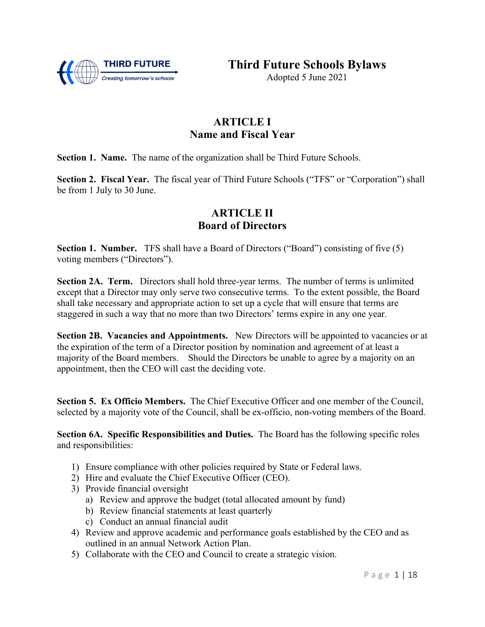

**Third Future Schools Bylaws**

Adopted 5 June 2021

# **ARTICLE I Name and Fiscal Year**

**Section 1. Name.** The name of the organization shall be Third Future Schools.

**Section 2. Fiscal Year.** The fiscal year of Third Future Schools ("TFS" or "Corporation") shall be from 1 July to 30 June.

### **ARTICLE II Board of Directors**

**Section 1. Number.** TFS shall have a Board of Directors ("Board") consisting of five (5) voting members ("Directors").

**Section 2A. Term.** Directors shall hold three-year terms. The number of terms is unlimited except that a Director may only serve two consecutive terms. To the extent possible, the Board shall take necessary and appropriate action to set up a cycle that will ensure that terms are staggered in such a way that no more than two Directors' terms expire in any one year.

**Section 2B. Vacancies and Appointments.** New Directors will be appointed to vacancies or at the expiration of the term of a Director position by nomination and agreement of at least a majority of the Board members. Should the Directors be unable to agree by a majority on an appointment, then the CEO will cast the deciding vote.

**Section 5. Ex Officio Members.** The Chief Executive Officer and one member of the Council, selected by a majority vote of the Council, shall be ex-officio, non-voting members of the Board.

**Section 6A. Specific Responsibilities and Duties.** The Board has the following specific roles and responsibilities:

- 1) Ensure compliance with other policies required by State or Federal laws.
- 2) Hire and evaluate the Chief Executive Officer (CEO).
- 3) Provide financial oversight
	- a) Review and approve the budget (total allocated amount by fund)
	- b) Review financial statements at least quarterly
	- c) Conduct an annual financial audit
- 4) Review and approve academic and performance goals established by the CEO and as outlined in an annual Network Action Plan.
- 5) Collaborate with the CEO and Council to create a strategic vision.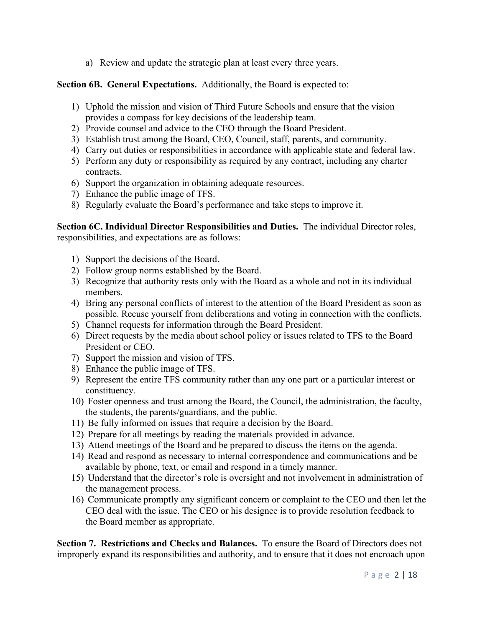a) Review and update the strategic plan at least every three years.

#### **Section 6B. General Expectations.** Additionally, the Board is expected to:

- 1) Uphold the mission and vision of Third Future Schools and ensure that the vision provides a compass for key decisions of the leadership team.
- 2) Provide counsel and advice to the CEO through the Board President.
- 3) Establish trust among the Board, CEO, Council, staff, parents, and community.
- 4) Carry out duties or responsibilities in accordance with applicable state and federal law.
- 5) Perform any duty or responsibility as required by any contract, including any charter contracts.
- 6) Support the organization in obtaining adequate resources.
- 7) Enhance the public image of TFS.
- 8) Regularly evaluate the Board's performance and take steps to improve it.

**Section 6C. Individual Director Responsibilities and Duties.** The individual Director roles, responsibilities, and expectations are as follows:

- 1) Support the decisions of the Board.
- 2) Follow group norms established by the Board.
- 3) Recognize that authority rests only with the Board as a whole and not in its individual members.
- 4) Bring any personal conflicts of interest to the attention of the Board President as soon as possible. Recuse yourself from deliberations and voting in connection with the conflicts.
- 5) Channel requests for information through the Board President.
- 6) Direct requests by the media about school policy or issues related to TFS to the Board President or CEO.
- 7) Support the mission and vision of TFS.
- 8) Enhance the public image of TFS.
- 9) Represent the entire TFS community rather than any one part or a particular interest or constituency.
- 10) Foster openness and trust among the Board, the Council, the administration, the faculty, the students, the parents/guardians, and the public.
- 11) Be fully informed on issues that require a decision by the Board.
- 12) Prepare for all meetings by reading the materials provided in advance.
- 13) Attend meetings of the Board and be prepared to discuss the items on the agenda.
- 14) Read and respond as necessary to internal correspondence and communications and be available by phone, text, or email and respond in a timely manner.
- 15) Understand that the director's role is oversight and not involvement in administration of the management process.
- 16) Communicate promptly any significant concern or complaint to the CEO and then let the CEO deal with the issue. The CEO or his designee is to provide resolution feedback to the Board member as appropriate.

**Section 7. Restrictions and Checks and Balances.** To ensure the Board of Directors does not improperly expand its responsibilities and authority, and to ensure that it does not encroach upon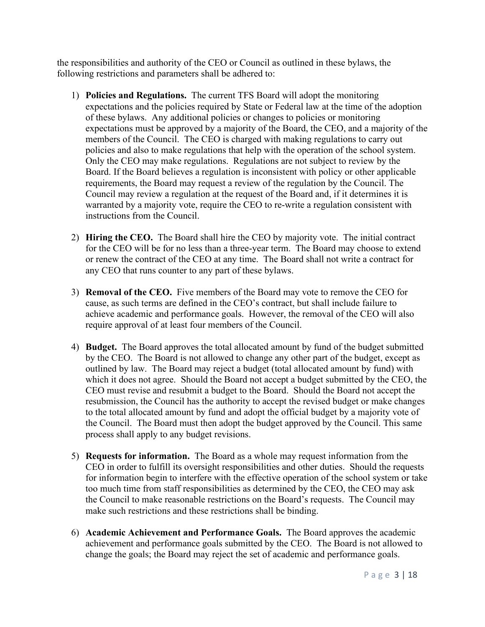the responsibilities and authority of the CEO or Council as outlined in these bylaws, the following restrictions and parameters shall be adhered to:

- 1) **Policies and Regulations.** The current TFS Board will adopt the monitoring expectations and the policies required by State or Federal law at the time of the adoption of these bylaws. Any additional policies or changes to policies or monitoring expectations must be approved by a majority of the Board, the CEO, and a majority of the members of the Council. The CEO is charged with making regulations to carry out policies and also to make regulations that help with the operation of the school system. Only the CEO may make regulations. Regulations are not subject to review by the Board. If the Board believes a regulation is inconsistent with policy or other applicable requirements, the Board may request a review of the regulation by the Council. The Council may review a regulation at the request of the Board and, if it determines it is warranted by a majority vote, require the CEO to re-write a regulation consistent with instructions from the Council.
- 2) **Hiring the CEO.** The Board shall hire the CEO by majority vote. The initial contract for the CEO will be for no less than a three-year term. The Board may choose to extend or renew the contract of the CEO at any time. The Board shall not write a contract for any CEO that runs counter to any part of these bylaws.
- 3) **Removal of the CEO.** Five members of the Board may vote to remove the CEO for cause, as such terms are defined in the CEO's contract, but shall include failure to achieve academic and performance goals. However, the removal of the CEO will also require approval of at least four members of the Council.
- 4) **Budget.** The Board approves the total allocated amount by fund of the budget submitted by the CEO. The Board is not allowed to change any other part of the budget, except as outlined by law. The Board may reject a budget (total allocated amount by fund) with which it does not agree. Should the Board not accept a budget submitted by the CEO, the CEO must revise and resubmit a budget to the Board. Should the Board not accept the resubmission, the Council has the authority to accept the revised budget or make changes to the total allocated amount by fund and adopt the official budget by a majority vote of the Council. The Board must then adopt the budget approved by the Council. This same process shall apply to any budget revisions.
- 5) **Requests for information.** The Board as a whole may request information from the CEO in order to fulfill its oversight responsibilities and other duties. Should the requests for information begin to interfere with the effective operation of the school system or take too much time from staff responsibilities as determined by the CEO, the CEO may ask the Council to make reasonable restrictions on the Board's requests. The Council may make such restrictions and these restrictions shall be binding.
- 6) **Academic Achievement and Performance Goals.** The Board approves the academic achievement and performance goals submitted by the CEO. The Board is not allowed to change the goals; the Board may reject the set of academic and performance goals.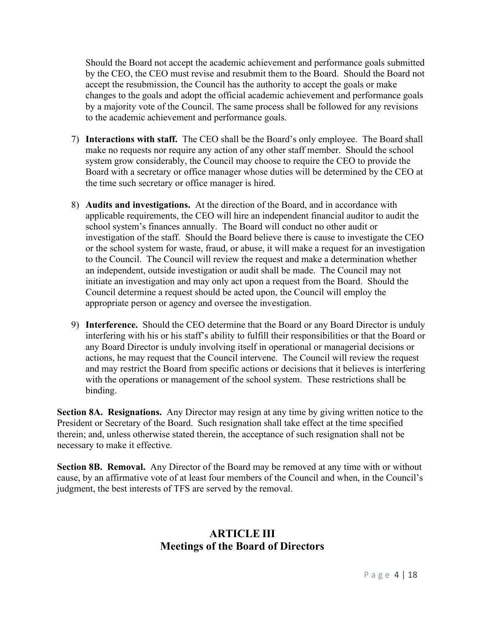Should the Board not accept the academic achievement and performance goals submitted by the CEO, the CEO must revise and resubmit them to the Board. Should the Board not accept the resubmission, the Council has the authority to accept the goals or make changes to the goals and adopt the official academic achievement and performance goals by a majority vote of the Council. The same process shall be followed for any revisions to the academic achievement and performance goals.

- 7) **Interactions with staff.** The CEO shall be the Board's only employee. The Board shall make no requests nor require any action of any other staff member. Should the school system grow considerably, the Council may choose to require the CEO to provide the Board with a secretary or office manager whose duties will be determined by the CEO at the time such secretary or office manager is hired.
- 8) **Audits and investigations.** At the direction of the Board, and in accordance with applicable requirements, the CEO will hire an independent financial auditor to audit the school system's finances annually. The Board will conduct no other audit or investigation of the staff. Should the Board believe there is cause to investigate the CEO or the school system for waste, fraud, or abuse, it will make a request for an investigation to the Council. The Council will review the request and make a determination whether an independent, outside investigation or audit shall be made. The Council may not initiate an investigation and may only act upon a request from the Board. Should the Council determine a request should be acted upon, the Council will employ the appropriate person or agency and oversee the investigation.
- 9) **Interference.** Should the CEO determine that the Board or any Board Director is unduly interfering with his or his staff's ability to fulfill their responsibilities or that the Board or any Board Director is unduly involving itself in operational or managerial decisions or actions, he may request that the Council intervene. The Council will review the request and may restrict the Board from specific actions or decisions that it believes is interfering with the operations or management of the school system. These restrictions shall be binding.

**Section 8A. Resignations.** Any Director may resign at any time by giving written notice to the President or Secretary of the Board. Such resignation shall take effect at the time specified therein; and, unless otherwise stated therein, the acceptance of such resignation shall not be necessary to make it effective.

**Section 8B. Removal.** Any Director of the Board may be removed at any time with or without cause, by an affirmative vote of at least four members of the Council and when, in the Council's judgment, the best interests of TFS are served by the removal.

### **ARTICLE III Meetings of the Board of Directors**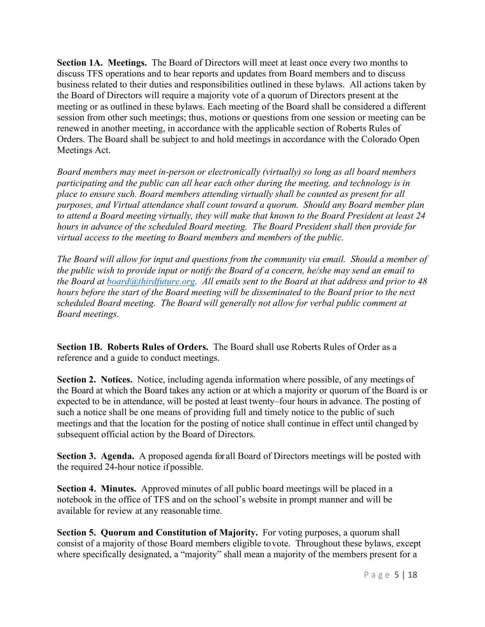**Section 1A. Meetings.** The Board of Directors will meet at least once every two months to discuss TFS operations and to hear reports and updates from Board members and to discuss business related to their duties and responsibilities outlined in these bylaws. All actions taken by the Board of Directors will require a majority vote of a quorum of Directors present at the meeting or as outlined in these bylaws. Each meeting of the Board shall be considered a different session from other such meetings; thus, motions or questions from one session or meeting can be renewed in another meeting, in accordance with the applicable section of Roberts Rules of Orders. The Board shall be subject to and hold meetings in accordance with the Colorado Open Meetings Act.

*Board members may meet in-person or electronically (virtually) so long as all board members participating and the public can all hear each other during the meeting, and technology is in place to ensure such. Board members attending virtually shall be counted as present for all purposes, and Virtual attendance shall count toward a quorum. Should any Board member plan to attend a Board meeting virtually, they will make that known to the Board President at least 24 hours in advance of the scheduled Board meeting. The Board President shall then provide for virtual access to the meeting to Board members and members of the public.*

*The Board will allow for input and questions from the community via email. Should a member of the public wish to provide input or notify the Board of a concern, he/she may send an email to the Board at [board@thirdfuture.org.](about:blank) All emails sent to the Board at that address and prior to 48 hours before the start of the Board meeting will be disseminated to the Board prior to the next scheduled Board meeting. The Board will generally not allow for verbal public comment at Board meetings.*

**Section 1B. Roberts Rules of Orders.** The Board shall use Roberts Rules of Order as a reference and a guide to conduct meetings.

**Section 2. Notices.** Notice, including agenda information where possible, of any meetings of the Board at which the Board takes any action or at which a majority or quorum of the Board is or expected to be in attendance, will be posted at least twenty–four hours in advance. The posting of such a notice shall be one means of providing full and timely notice to the public of such meetings and that the location for the posting of notice shall continue in effect until changed by subsequent official action by the Board of Directors.

**Section 3. Agenda.** A proposed agenda for all Board of Directors meetings will be posted with the required 24-hour notice if possible.

**Section 4. Minutes.** Approved minutes of all public board meetings will be placed in a notebook in the office of TFS and on the school's website in prompt manner and will be available for review at any reasonable time.

**Section 5. Quorum and Constitution of Majority.** For voting purposes, a quorum shall consist of a majority of those Board members eligible tovote. Throughout these bylaws, except where specifically designated, a "majority" shall mean a majority of the members present for a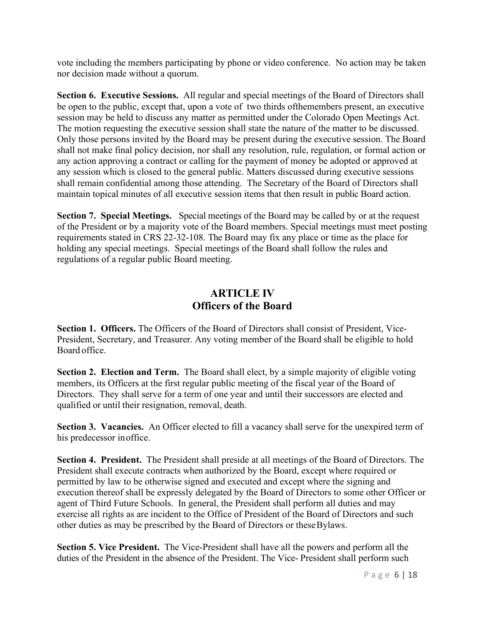vote including the members participating by phone or video conference. No action may be taken nor decision made without a quorum.

**Section 6. Executive Sessions.** All regular and special meetings of the Board of Directors shall be open to the public, except that, upon a vote of two thirds ofthemembers present, an executive session may be held to discuss any matter as permitted under the Colorado Open Meetings Act. The motion requesting the executive session shall state the nature of the matter to be discussed. Only those persons invited by the Board may be present during the executive session. The Board shall not make final policy decision, nor shall any resolution, rule, regulation, or formal action or any action approving a contract or calling for the payment of money be adopted or approved at any session which is closed to the general public. Matters discussed during executive sessions shall remain confidential among those attending. The Secretary of the Board of Directors shall maintain topical minutes of all executive session items that then result in public Board action.

**Section 7. Special Meetings.** Special meetings of the Board may be called by or at the request of the President or by a majority vote of the Board members. Special meetings must meet posting requirements stated in CRS 22-32-108. The Board may fix any place or time as the place for holding any special meetings. Special meetings of the Board shall follow the rules and regulations of a regular public Board meeting.

### **ARTICLE IV Officers of the Board**

**Section 1. Officers.** The Officers of the Board of Directors shall consist of President, Vice-President, Secretary, and Treasurer. Any voting member of the Board shall be eligible to hold Board office.

**Section 2. Election and Term.** The Board shall elect, by a simple majority of eligible voting members, its Officers at the first regular public meeting of the fiscal year of the Board of Directors. They shall serve for a term of one year and until their successors are elected and qualified or until their resignation, removal, death.

**Section 3. Vacancies.** An Officer elected to fill a vacancy shall serve for the unexpired term of his predecessor inoffice.

**Section 4. President.** The President shall preside at all meetings of the Board of Directors. The President shall execute contracts when authorized by the Board, except where required or permitted by law to be otherwise signed and executed and except where the signing and execution thereof shall be expressly delegated by the Board of Directors to some other Officer or agent of Third Future Schools. In general, the President shall perform all duties and may exercise all rights as are incident to the Office of President of the Board of Directors and such other duties as may be prescribed by the Board of Directors or theseBylaws.

**Section 5. Vice President.** The Vice-President shall have all the powers and perform all the duties of the President in the absence of the President. The Vice- President shall perform such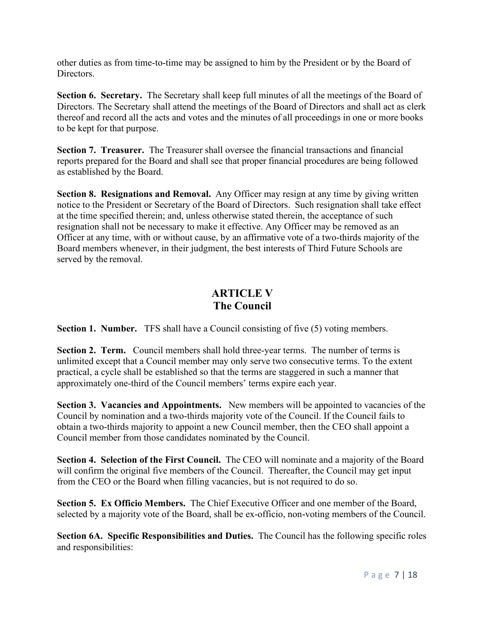other duties as from time-to-time may be assigned to him by the President or by the Board of Directors.

**Section 6. Secretary.** The Secretary shall keep full minutes of all the meetings of the Board of Directors. The Secretary shall attend the meetings of the Board of Directors and shall act as clerk thereof and record all the acts and votes and the minutes of all proceedings in one or more books to be kept for that purpose.

**Section 7. Treasurer.** The Treasurer shall oversee the financial transactions and financial reports prepared for the Board and shall see that proper financial procedures are being followed as established by the Board.

**Section 8. Resignations and Removal.** Any Officer may resign at any time by giving written notice to the President or Secretary of the Board of Directors. Such resignation shall take effect at the time specified therein; and, unless otherwise stated therein, the acceptance of such resignation shall not be necessary to make it effective. Any Officer may be removed as an Officer at any time, with or without cause, by an affirmative vote of a two-thirds majority of the Board members whenever, in their judgment, the best interests of Third Future Schools are served by the removal.

# **ARTICLE V The Council**

**Section 1. Number.** TFS shall have a Council consisting of five (5) voting members.

**Section 2. Term.** Council members shall hold three-year terms. The number of terms is unlimited except that a Council member may only serve two consecutive terms. To the extent practical, a cycle shall be established so that the terms are staggered in such a manner that approximately one-third of the Council members' terms expire each year.

**Section 3. Vacancies and Appointments.** New members will be appointed to vacancies of the Council by nomination and a two-thirds majority vote of the Council. If the Council fails to obtain a two-thirds majority to appoint a new Council member, then the CEO shall appoint a Council member from those candidates nominated by the Council.

**Section 4. Selection of the First Council.** The CEO will nominate and a majority of the Board will confirm the original five members of the Council. Thereafter, the Council may get input from the CEO or the Board when filling vacancies, but is not required to do so.

**Section 5. Ex Officio Members.** The Chief Executive Officer and one member of the Board, selected by a majority vote of the Board, shall be ex-officio, non-voting members of the Council.

**Section 6A. Specific Responsibilities and Duties.** The Council has the following specific roles and responsibilities: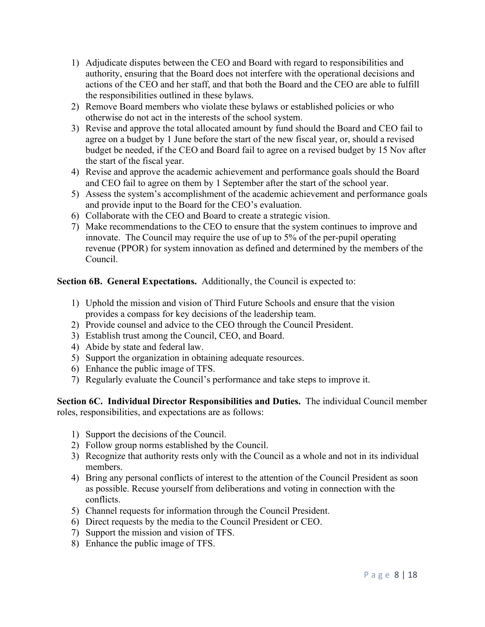- 1) Adjudicate disputes between the CEO and Board with regard to responsibilities and authority, ensuring that the Board does not interfere with the operational decisions and actions of the CEO and her staff, and that both the Board and the CEO are able to fulfill the responsibilities outlined in these bylaws.
- 2) Remove Board members who violate these bylaws or established policies or who otherwise do not act in the interests of the school system.
- 3) Revise and approve the total allocated amount by fund should the Board and CEO fail to agree on a budget by 1 June before the start of the new fiscal year, or, should a revised budget be needed, if the CEO and Board fail to agree on a revised budget by 15 Nov after the start of the fiscal year.
- 4) Revise and approve the academic achievement and performance goals should the Board and CEO fail to agree on them by 1 September after the start of the school year.
- 5) Assess the system's accomplishment of the academic achievement and performance goals and provide input to the Board for the CEO's evaluation.
- 6) Collaborate with the CEO and Board to create a strategic vision.
- 7) Make recommendations to the CEO to ensure that the system continues to improve and innovate. The Council may require the use of up to 5% of the per-pupil operating revenue (PPOR) for system innovation as defined and determined by the members of the Council.

**Section 6B. General Expectations.** Additionally, the Council is expected to:

- 1) Uphold the mission and vision of Third Future Schools and ensure that the vision provides a compass for key decisions of the leadership team.
- 2) Provide counsel and advice to the CEO through the Council President.
- 3) Establish trust among the Council, CEO, and Board.
- 4) Abide by state and federal law.
- 5) Support the organization in obtaining adequate resources.
- 6) Enhance the public image of TFS.
- 7) Regularly evaluate the Council's performance and take steps to improve it.

**Section 6C. Individual Director Responsibilities and Duties.** The individual Council member roles, responsibilities, and expectations are as follows:

- 1) Support the decisions of the Council.
- 2) Follow group norms established by the Council.
- 3) Recognize that authority rests only with the Council as a whole and not in its individual members.
- 4) Bring any personal conflicts of interest to the attention of the Council President as soon as possible. Recuse yourself from deliberations and voting in connection with the conflicts.
- 5) Channel requests for information through the Council President.
- 6) Direct requests by the media to the Council President or CEO.
- 7) Support the mission and vision of TFS.
- 8) Enhance the public image of TFS.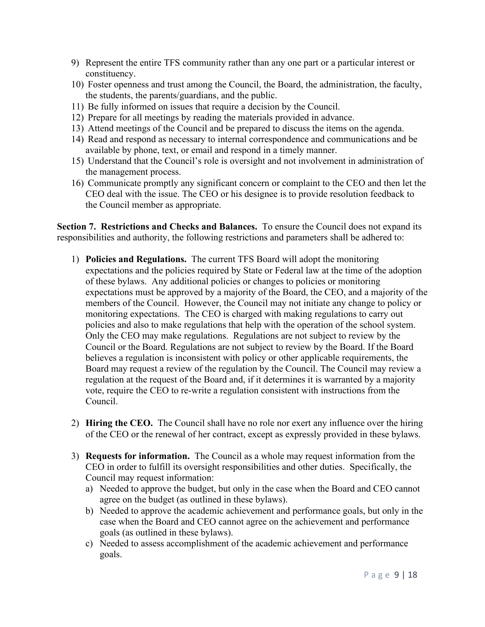- 9) Represent the entire TFS community rather than any one part or a particular interest or constituency.
- 10) Foster openness and trust among the Council, the Board, the administration, the faculty, the students, the parents/guardians, and the public.
- 11) Be fully informed on issues that require a decision by the Council.
- 12) Prepare for all meetings by reading the materials provided in advance.
- 13) Attend meetings of the Council and be prepared to discuss the items on the agenda.
- 14) Read and respond as necessary to internal correspondence and communications and be available by phone, text, or email and respond in a timely manner.
- 15) Understand that the Council's role is oversight and not involvement in administration of the management process.
- 16) Communicate promptly any significant concern or complaint to the CEO and then let the CEO deal with the issue. The CEO or his designee is to provide resolution feedback to the Council member as appropriate.

**Section 7. Restrictions and Checks and Balances.** To ensure the Council does not expand its responsibilities and authority, the following restrictions and parameters shall be adhered to:

- 1) **Policies and Regulations.** The current TFS Board will adopt the monitoring expectations and the policies required by State or Federal law at the time of the adoption of these bylaws. Any additional policies or changes to policies or monitoring expectations must be approved by a majority of the Board, the CEO, and a majority of the members of the Council. However, the Council may not initiate any change to policy or monitoring expectations. The CEO is charged with making regulations to carry out policies and also to make regulations that help with the operation of the school system. Only the CEO may make regulations. Regulations are not subject to review by the Council or the Board. Regulations are not subject to review by the Board. If the Board believes a regulation is inconsistent with policy or other applicable requirements, the Board may request a review of the regulation by the Council. The Council may review a regulation at the request of the Board and, if it determines it is warranted by a majority vote, require the CEO to re-write a regulation consistent with instructions from the Council.
- 2) **Hiring the CEO.** The Council shall have no role nor exert any influence over the hiring of the CEO or the renewal of her contract, except as expressly provided in these bylaws.
- 3) **Requests for information.** The Council as a whole may request information from the CEO in order to fulfill its oversight responsibilities and other duties. Specifically, the Council may request information:
	- a) Needed to approve the budget, but only in the case when the Board and CEO cannot agree on the budget (as outlined in these bylaws).
	- b) Needed to approve the academic achievement and performance goals, but only in the case when the Board and CEO cannot agree on the achievement and performance goals (as outlined in these bylaws).
	- c) Needed to assess accomplishment of the academic achievement and performance goals.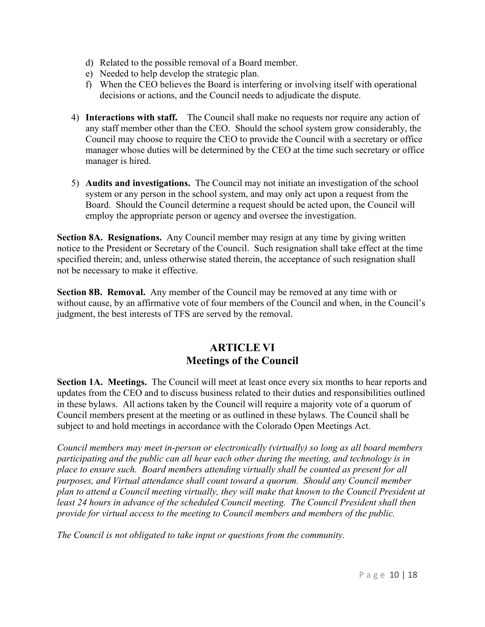- d) Related to the possible removal of a Board member.
- e) Needed to help develop the strategic plan.
- f) When the CEO believes the Board is interfering or involving itself with operational decisions or actions, and the Council needs to adjudicate the dispute.
- 4) **Interactions with staff.** The Council shall make no requests nor require any action of any staff member other than the CEO. Should the school system grow considerably, the Council may choose to require the CEO to provide the Council with a secretary or office manager whose duties will be determined by the CEO at the time such secretary or office manager is hired.
- 5) **Audits and investigations.** The Council may not initiate an investigation of the school system or any person in the school system, and may only act upon a request from the Board. Should the Council determine a request should be acted upon, the Council will employ the appropriate person or agency and oversee the investigation.

**Section 8A. Resignations.** Any Council member may resign at any time by giving written notice to the President or Secretary of the Council. Such resignation shall take effect at the time specified therein; and, unless otherwise stated therein, the acceptance of such resignation shall not be necessary to make it effective.

**Section 8B. Removal.** Any member of the Council may be removed at any time with or without cause, by an affirmative vote of four members of the Council and when, in the Council's judgment, the best interests of TFS are served by the removal.

# **ARTICLE VI Meetings of the Council**

**Section 1A. Meetings.** The Council will meet at least once every six months to hear reports and updates from the CEO and to discuss business related to their duties and responsibilities outlined in these bylaws. All actions taken by the Council will require a majority vote of a quorum of Council members present at the meeting or as outlined in these bylaws. The Council shall be subject to and hold meetings in accordance with the Colorado Open Meetings Act.

*Council members may meet in-person or electronically (virtually) so long as all board members participating and the public can all hear each other during the meeting, and technology is in place to ensure such. Board members attending virtually shall be counted as present for all purposes, and Virtual attendance shall count toward a quorum. Should any Council member plan to attend a Council meeting virtually, they will make that known to the Council President at*  least 24 hours in advance of the scheduled Council meeting. The Council President shall then *provide for virtual access to the meeting to Council members and members of the public.*

*The Council is not obligated to take input or questions from the community.*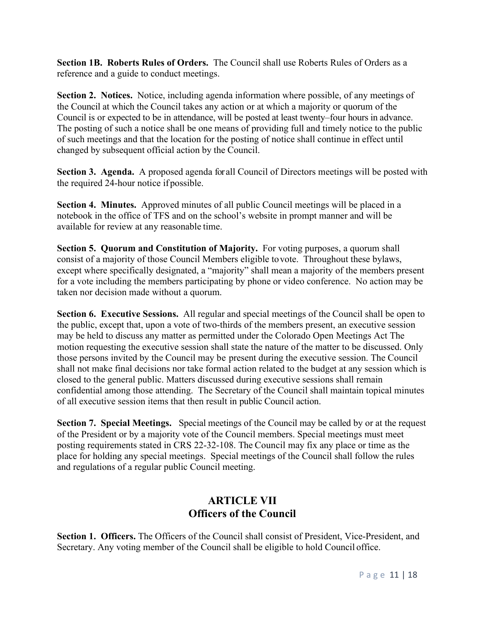**Section 1B. Roberts Rules of Orders.** The Council shall use Roberts Rules of Orders as a reference and a guide to conduct meetings.

**Section 2. Notices.** Notice, including agenda information where possible, of any meetings of the Council at which the Council takes any action or at which a majority or quorum of the Council is or expected to be in attendance, will be posted at least twenty–four hours in advance. The posting of such a notice shall be one means of providing full and timely notice to the public of such meetings and that the location for the posting of notice shall continue in effect until changed by subsequent official action by the Council.

**Section 3. Agenda.** A proposed agenda for all Council of Directors meetings will be posted with the required 24-hour notice if possible.

**Section 4. Minutes.** Approved minutes of all public Council meetings will be placed in a notebook in the office of TFS and on the school's website in prompt manner and will be available for review at any reasonable time.

**Section 5. Quorum and Constitution of Majority.** For voting purposes, a quorum shall consist of a majority of those Council Members eligible tovote. Throughout these bylaws, except where specifically designated, a "majority" shall mean a majority of the members present for a vote including the members participating by phone or video conference. No action may be taken nor decision made without a quorum.

**Section 6. Executive Sessions.** All regular and special meetings of the Council shall be open to the public, except that, upon a vote of two-thirds of the members present, an executive session may be held to discuss any matter as permitted under the Colorado Open Meetings Act The motion requesting the executive session shall state the nature of the matter to be discussed. Only those persons invited by the Council may be present during the executive session. The Council shall not make final decisions nor take formal action related to the budget at any session which is closed to the general public. Matters discussed during executive sessions shall remain confidential among those attending. The Secretary of the Council shall maintain topical minutes of all executive session items that then result in public Council action.

**Section 7. Special Meetings.** Special meetings of the Council may be called by or at the request of the President or by a majority vote of the Council members. Special meetings must meet posting requirements stated in CRS 22-32-108. The Council may fix any place or time as the place for holding any special meetings. Special meetings of the Council shall follow the rules and regulations of a regular public Council meeting.

## **ARTICLE VII Officers of the Council**

**Section 1. Officers.** The Officers of the Council shall consist of President, Vice-President, and Secretary. Any voting member of the Council shall be eligible to hold Council office.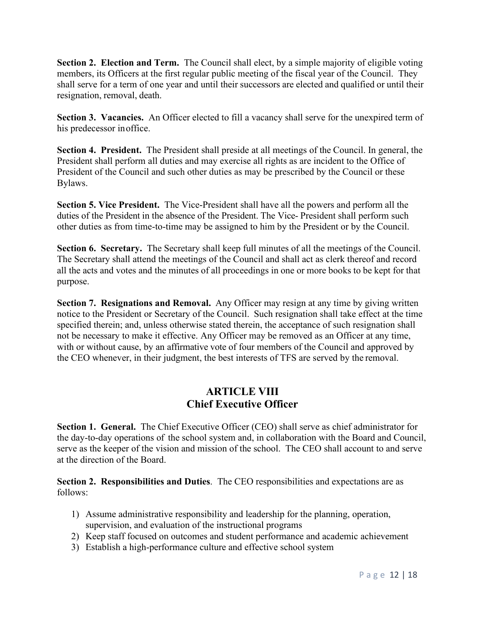**Section 2. Election and Term.** The Council shall elect, by a simple majority of eligible voting members, its Officers at the first regular public meeting of the fiscal year of the Council. They shall serve for a term of one year and until their successors are elected and qualified or until their resignation, removal, death.

**Section 3. Vacancies.** An Officer elected to fill a vacancy shall serve for the unexpired term of his predecessor inoffice.

**Section 4. President.** The President shall preside at all meetings of the Council. In general, the President shall perform all duties and may exercise all rights as are incident to the Office of President of the Council and such other duties as may be prescribed by the Council or these Bylaws.

**Section 5. Vice President.** The Vice-President shall have all the powers and perform all the duties of the President in the absence of the President. The Vice- President shall perform such other duties as from time-to-time may be assigned to him by the President or by the Council.

**Section 6. Secretary.** The Secretary shall keep full minutes of all the meetings of the Council. The Secretary shall attend the meetings of the Council and shall act as clerk thereof and record all the acts and votes and the minutes of all proceedings in one or more books to be kept for that purpose.

**Section 7. Resignations and Removal.** Any Officer may resign at any time by giving written notice to the President or Secretary of the Council. Such resignation shall take effect at the time specified therein; and, unless otherwise stated therein, the acceptance of such resignation shall not be necessary to make it effective. Any Officer may be removed as an Officer at any time, with or without cause, by an affirmative vote of four members of the Council and approved by the CEO whenever, in their judgment, the best interests of TFS are served by the removal.

### **ARTICLE VIII Chief Executive Officer**

**Section 1. General.** The Chief Executive Officer (CEO) shall serve as chief administrator for the day-to-day operations of the school system and, in collaboration with the Board and Council, serve as the keeper of the vision and mission of the school. The CEO shall account to and serve at the direction of the Board.

**Section 2. Responsibilities and Duties**. The CEO responsibilities and expectations are as follows:

- 1) Assume administrative responsibility and leadership for the planning, operation, supervision, and evaluation of the instructional programs
- 2) Keep staff focused on outcomes and student performance and academic achievement
- 3) Establish a high-performance culture and effective school system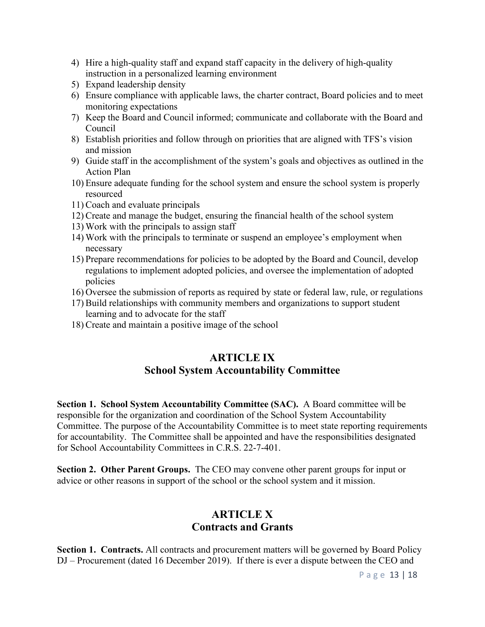- 4) Hire a high-quality staff and expand staff capacity in the delivery of high-quality instruction in a personalized learning environment
- 5) Expand leadership density
- 6) Ensure compliance with applicable laws, the charter contract, Board policies and to meet monitoring expectations
- 7) Keep the Board and Council informed; communicate and collaborate with the Board and Council
- 8) Establish priorities and follow through on priorities that are aligned with TFS's vision and mission
- 9) Guide staff in the accomplishment of the system's goals and objectives as outlined in the Action Plan
- 10) Ensure adequate funding for the school system and ensure the school system is properly resourced
- 11) Coach and evaluate principals
- 12) Create and manage the budget, ensuring the financial health of the school system
- 13) Work with the principals to assign staff
- 14) Work with the principals to terminate or suspend an employee's employment when necessary
- 15) Prepare recommendations for policies to be adopted by the Board and Council, develop regulations to implement adopted policies, and oversee the implementation of adopted policies
- 16) Oversee the submission of reports as required by state or federal law, rule, or regulations
- 17) Build relationships with community members and organizations to support student learning and to advocate for the staff
- 18) Create and maintain a positive image of the school

### **ARTICLE IX School System Accountability Committee**

**Section 1. School System Accountability Committee (SAC).** A Board committee will be responsible for the organization and coordination of the School System Accountability Committee. The purpose of the Accountability Committee is to meet state reporting requirements for accountability. The Committee shall be appointed and have the responsibilities designated for School Accountability Committees in C.R.S. 22-7-401.

**Section 2. Other Parent Groups.** The CEO may convene other parent groups for input or advice or other reasons in support of the school or the school system and it mission.

# **ARTICLE X Contracts and Grants**

**Section 1. Contracts.** All contracts and procurement matters will be governed by Board Policy DJ – Procurement (dated 16 December 2019). If there is ever a dispute between the CEO and

Page 13 | 18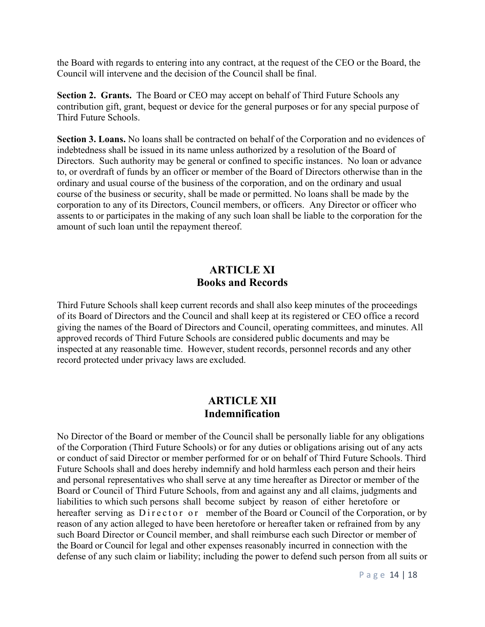the Board with regards to entering into any contract, at the request of the CEO or the Board, the Council will intervene and the decision of the Council shall be final.

**Section 2. Grants.** The Board or CEO may accept on behalf of Third Future Schools any contribution gift, grant, bequest or device for the general purposes or for any special purpose of Third Future Schools.

**Section 3. Loans.** No loans shall be contracted on behalf of the Corporation and no evidences of indebtedness shall be issued in its name unless authorized by a resolution of the Board of Directors. Such authority may be general or confined to specific instances. No loan or advance to, or overdraft of funds by an officer or member of the Board of Directors otherwise than in the ordinary and usual course of the business of the corporation, and on the ordinary and usual course of the business or security, shall be made or permitted. No loans shall be made by the corporation to any of its Directors, Council members, or officers. Any Director or officer who assents to or participates in the making of any such loan shall be liable to the corporation for the amount of such loan until the repayment thereof.

### **ARTICLE XI Books and Records**

Third Future Schools shall keep current records and shall also keep minutes of the proceedings of its Board of Directors and the Council and shall keep at its registered or CEO office a record giving the names of the Board of Directors and Council, operating committees, and minutes. All approved records of Third Future Schools are considered public documents and may be inspected at any reasonable time. However, student records, personnel records and any other record protected under privacy laws are excluded.

#### **ARTICLE XII Indemnification**

No Director of the Board or member of the Council shall be personally liable for any obligations of the Corporation (Third Future Schools) or for any duties or obligations arising out of any acts or conduct of said Director or member performed for or on behalf of Third Future Schools. Third Future Schools shall and does hereby indemnify and hold harmless each person and their heirs and personal representatives who shall serve at any time hereafter as Director or member of the Board or Council of Third Future Schools, from and against any and all claims, judgments and liabilities to which such persons shall become subject by reason of either heretofore or hereafter serving as Director or member of the Board or Council of the Corporation, or by reason of any action alleged to have been heretofore or hereafter taken or refrained from by any such Board Director or Council member, and shall reimburse each such Director or member of the Board or Council for legal and other expenses reasonably incurred in connection with the defense of any such claim or liability; including the power to defend such person from all suits or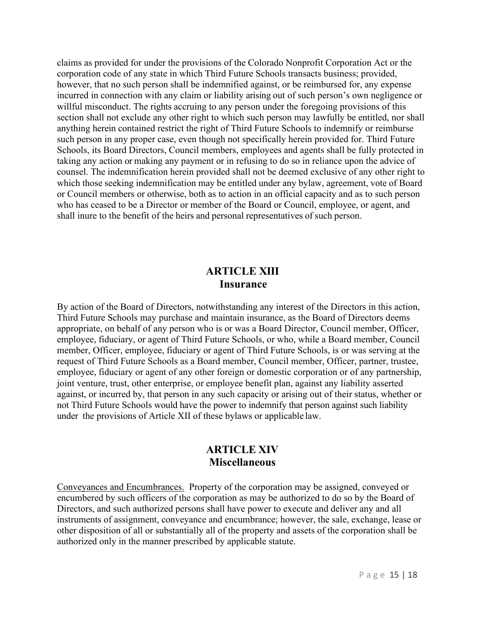claims as provided for under the provisions of the Colorado Nonprofit Corporation Act or the corporation code of any state in which Third Future Schools transacts business; provided, however, that no such person shall be indemnified against, or be reimbursed for, any expense incurred in connection with any claim or liability arising out of such person's own negligence or willful misconduct. The rights accruing to any person under the foregoing provisions of this section shall not exclude any other right to which such person may lawfully be entitled, nor shall anything herein contained restrict the right of Third Future Schools to indemnify or reimburse such person in any proper case, even though not specifically herein provided for. Third Future Schools, its Board Directors, Council members, employees and agents shall be fully protected in taking any action or making any payment or in refusing to do so in reliance upon the advice of counsel. The indemnification herein provided shall not be deemed exclusive of any other right to which those seeking indemnification may be entitled under any bylaw, agreement, vote of Board or Council members or otherwise, both as to action in an official capacity and as to such person who has ceased to be a Director or member of the Board or Council, employee, or agent, and shall inure to the benefit of the heirs and personal representatives of such person.

#### **ARTICLE XIII Insurance**

By action of the Board of Directors, notwithstanding any interest of the Directors in this action, Third Future Schools may purchase and maintain insurance, as the Board of Directors deems appropriate, on behalf of any person who is or was a Board Director, Council member, Officer, employee, fiduciary, or agent of Third Future Schools, or who, while a Board member, Council member, Officer, employee, fiduciary or agent of Third Future Schools, is or was serving at the request of Third Future Schools as a Board member, Council member, Officer, partner, trustee, employee, fiduciary or agent of any other foreign or domestic corporation or of any partnership, joint venture, trust, other enterprise, or employee benefit plan, against any liability asserted against, or incurred by, that person in any such capacity or arising out of their status, whether or not Third Future Schools would have the power to indemnify that person against such liability under the provisions of Article XII of these bylaws or applicable law.

### **ARTICLE XIV Miscellaneous**

Conveyances and Encumbrances. Property of the corporation may be assigned, conveyed or encumbered by such officers of the corporation as may be authorized to do so by the Board of Directors, and such authorized persons shall have power to execute and deliver any and all instruments of assignment, conveyance and encumbrance; however, the sale, exchange, lease or other disposition of all or substantially all of the property and assets of the corporation shall be authorized only in the manner prescribed by applicable statute.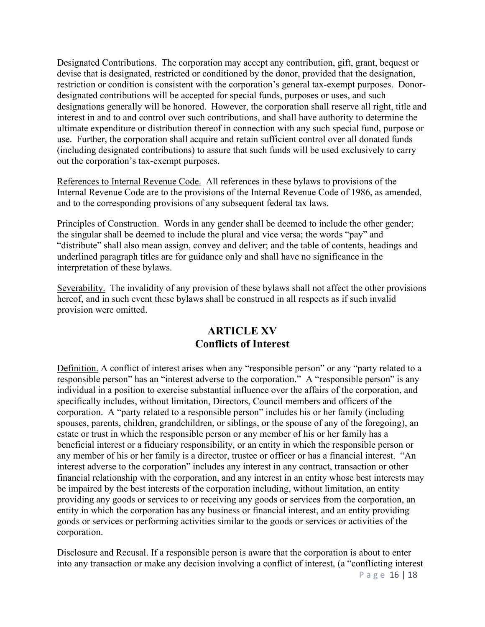Designated Contributions. The corporation may accept any contribution, gift, grant, bequest or devise that is designated, restricted or conditioned by the donor, provided that the designation, restriction or condition is consistent with the corporation's general tax-exempt purposes. Donordesignated contributions will be accepted for special funds, purposes or uses, and such designations generally will be honored. However, the corporation shall reserve all right, title and interest in and to and control over such contributions, and shall have authority to determine the ultimate expenditure or distribution thereof in connection with any such special fund, purpose or use. Further, the corporation shall acquire and retain sufficient control over all donated funds (including designated contributions) to assure that such funds will be used exclusively to carry out the corporation's tax-exempt purposes.

References to Internal Revenue Code. All references in these bylaws to provisions of the Internal Revenue Code are to the provisions of the Internal Revenue Code of 1986, as amended, and to the corresponding provisions of any subsequent federal tax laws.

Principles of Construction. Words in any gender shall be deemed to include the other gender; the singular shall be deemed to include the plural and vice versa; the words "pay" and "distribute" shall also mean assign, convey and deliver; and the table of contents, headings and underlined paragraph titles are for guidance only and shall have no significance in the interpretation of these bylaws.

Severability. The invalidity of any provision of these bylaws shall not affect the other provisions hereof, and in such event these bylaws shall be construed in all respects as if such invalid provision were omitted.

### **ARTICLE XV Conflicts of Interest**

Definition. A conflict of interest arises when any "responsible person" or any "party related to a responsible person" has an "interest adverse to the corporation." A "responsible person" is any individual in a position to exercise substantial influence over the affairs of the corporation, and specifically includes, without limitation, Directors, Council members and officers of the corporation. A "party related to a responsible person" includes his or her family (including spouses, parents, children, grandchildren, or siblings, or the spouse of any of the foregoing), an estate or trust in which the responsible person or any member of his or her family has a beneficial interest or a fiduciary responsibility, or an entity in which the responsible person or any member of his or her family is a director, trustee or officer or has a financial interest. "An interest adverse to the corporation" includes any interest in any contract, transaction or other financial relationship with the corporation, and any interest in an entity whose best interests may be impaired by the best interests of the corporation including, without limitation, an entity providing any goods or services to or receiving any goods or services from the corporation, an entity in which the corporation has any business or financial interest, and an entity providing goods or services or performing activities similar to the goods or services or activities of the corporation.

Disclosure and Recusal. If a responsible person is aware that the corporation is about to enter into any transaction or make any decision involving a conflict of interest, (a "conflicting interest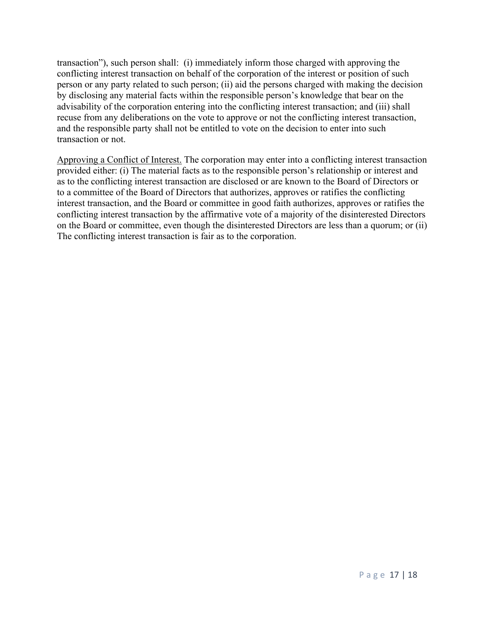transaction"), such person shall: (i) immediately inform those charged with approving the conflicting interest transaction on behalf of the corporation of the interest or position of such person or any party related to such person; (ii) aid the persons charged with making the decision by disclosing any material facts within the responsible person's knowledge that bear on the advisability of the corporation entering into the conflicting interest transaction; and (iii) shall recuse from any deliberations on the vote to approve or not the conflicting interest transaction, and the responsible party shall not be entitled to vote on the decision to enter into such transaction or not.

Approving a Conflict of Interest. The corporation may enter into a conflicting interest transaction provided either: (i) The material facts as to the responsible person's relationship or interest and as to the conflicting interest transaction are disclosed or are known to the Board of Directors or to a committee of the Board of Directors that authorizes, approves or ratifies the conflicting interest transaction, and the Board or committee in good faith authorizes, approves or ratifies the conflicting interest transaction by the affirmative vote of a majority of the disinterested Directors on the Board or committee, even though the disinterested Directors are less than a quorum; or (ii) The conflicting interest transaction is fair as to the corporation.